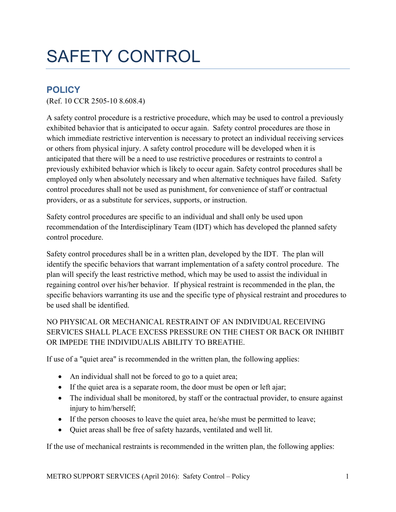## SAFETY CONTROL

## **POLICY**

(Ref. 10 CCR 2505-10 8.608.4)

A safety control procedure is a restrictive procedure, which may be used to control a previously exhibited behavior that is anticipated to occur again. Safety control procedures are those in which immediate restrictive intervention is necessary to protect an individual receiving services or others from physical injury. A safety control procedure will be developed when it is anticipated that there will be a need to use restrictive procedures or restraints to control a previously exhibited behavior which is likely to occur again. Safety control procedures shall be employed only when absolutely necessary and when alternative techniques have failed. Safety control procedures shall not be used as punishment, for convenience of staff or contractual providers, or as a substitute for services, supports, or instruction.

Safety control procedures are specific to an individual and shall only be used upon recommendation of the Interdisciplinary Team (IDT) which has developed the planned safety control procedure.

Safety control procedures shall be in a written plan, developed by the IDT. The plan will identify the specific behaviors that warrant implementation of a safety control procedure. The plan will specify the least restrictive method, which may be used to assist the individual in regaining control over his/her behavior. If physical restraint is recommended in the plan, the specific behaviors warranting its use and the specific type of physical restraint and procedures to be used shall be identified.

## NO PHYSICAL OR MECHANICAL RESTRAINT OF AN INDIVIDUAL RECEIVING SERVICES SHALL PLACE EXCESS PRESSURE ON THE CHEST OR BACK OR INHIBIT OR IMPEDE THE INDIVIDUALIS ABILITY TO BREATHE.

If use of a "quiet area" is recommended in the written plan, the following applies:

- An individual shall not be forced to go to a quiet area;
- If the quiet area is a separate room, the door must be open or left ajar;
- The individual shall be monitored, by staff or the contractual provider, to ensure against injury to him/herself;
- If the person chooses to leave the quiet area, he/she must be permitted to leave;
- Quiet areas shall be free of safety hazards, ventilated and well lit.

If the use of mechanical restraints is recommended in the written plan, the following applies: